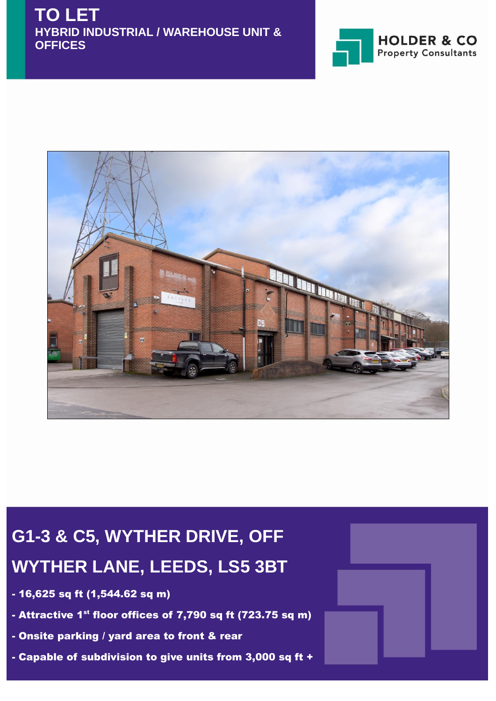



# **G1-3 & C5, WYTHER DRIVE, OFF WYTHER LANE, LEEDS, LS5 3BT**

- 16,625 sq ft (1,544.62 sq m)
- Attractive 1 $^{\rm st}$  floor offices of 7,790 sq ft (723.75 sq m)
- Onsite parking / yard area to front & rear
- Capable of subdivision to give units from 3,000 sq ft +